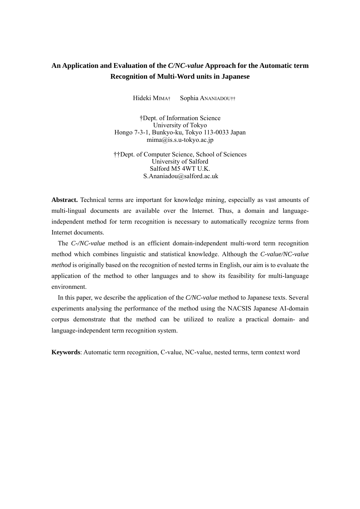# **An Application and Evaluation of the** *C/NC-value* **Approach for the Automatic term Recognition of Multi-Word units in Japanese**

Hideki MIMA† Sophia ANANIADOU††

†Dept. of Information Science University of Tokyo Hongo 7-3-1, Bunkyo-ku, Tokyo 113-0033 Japan mima@is.s.u-tokyo.ac.jp

††Dept. of Computer Science, School of Sciences University of Salford Salford M5 4WT U.K. S.Ananiadou@salford.ac.uk

**Abstract.** Technical terms are important for knowledge mining, especially as vast amounts of multi-lingual documents are available over the Internet. Thus, a domain and languageindependent method for term recognition is necessary to automatically recognize terms from Internet documents.

The *C-/NC-value* method is an efficient domain-independent multi-word term recognition method which combines linguistic and statistical knowledge. Although the *C-value/NC-value method* is originally based on the recognition of nested terms in English, our aim is to evaluate the application of the method to other languages and to show its feasibility for multi-language environment.

In this paper, we describe the application of the *C/NC-value* method to Japanese texts. Several experiments analysing the performance of the method using the NACSIS Japanese AI-domain corpus demonstrate that the method can be utilized to realize a practical domain- and language-independent term recognition system.

**Keywords**: Automatic term recognition, C-value, NC-value, nested terms, term context word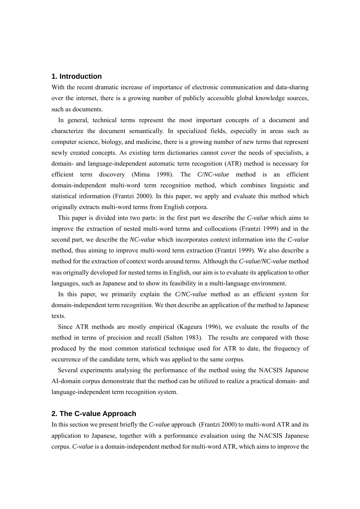## **1. Introduction**

With the recent dramatic increase of importance of electronic communication and data-sharing over the internet, there is a growing number of publicly accessible global knowledge sources, such as documents.

 In general, technical terms represent the most important concepts of a document and characterize the document semantically. In specialized fields, especially in areas such as computer science, biology, and medicine, there is a growing number of new terms that represent newly created concepts. As existing term dictionaries cannot cover the needs of specialists, a domain- and language-independent automatic term recognition (ATR) method is necessary for efficient term discovery (Mima 1998). The *C/NC-value* method is an efficient domain-independent multi-word term recognition method, which combines linguistic and statistical information (Frantzi 2000). In this paper, we apply and evaluate this method which originally extracts multi-word terms from English corpora.

This paper is divided into two parts: in the first part we describe the *C-value* which aims to improve the extraction of nested multi-word terms and collocations (Frantzi 1999) and in the second part, we describe the *NC-value* which incorporates context information into the *C-value* method, thus aiming to improve multi-word term extraction (Frantzi 1999). We also describe a method for the extraction of context words around terms. Although the *C-value/NC-value* method was originally developed for nested terms in English, our aim is to evaluate its application to other languages, such as Japanese and to show its feasibility in a multi-language environment.

In this paper, we primarily explain the *C/NC-value* method as an efficient system for domain-independent term recognition. We then describe an application of the method to Japanese texts.

Since ATR methods are mostly empirical (Kageura 1996), we evaluate the results of the method in terms of precision and recall (Salton 1983). The results are compared with those produced by the most common statistical technique used for ATR to date, the frequency of occurrence of the candidate term, which was applied to the same corpus.

Several experiments analysing the performance of the method using the NACSIS Japanese AI-domain corpus demonstrate that the method can be utilized to realize a practical domain- and language-independent term recognition system.

# **2. The C-value Approach**

In this section we present briefly the *C-value* approach (Frantzi 2000) to multi-word ATR and its application to Japanese, together with a performance evaluation using the NACSIS Japanese corpus. *C-value* is a domain-independent method for multi-word ATR, which aims to improve the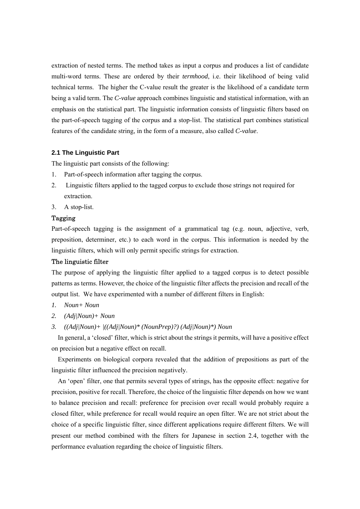extraction of nested terms. The method takes as input a corpus and produces a list of candidate multi-word terms. These are ordered by their *termhood*, i.e. their likelihood of being valid technical terms. The higher the C-value result the greater is the likelihood of a candidate term being a valid term. The *C-value* approach combines linguistic and statistical information, with an emphasis on the statistical part. The linguistic information consists of linguistic filters based on the part-of-speech tagging of the corpus and a stop-list. The statistical part combines statistical features of the candidate string, in the form of a measure, also called *C-value*.

#### **2.1 The Linguistic Part**

The linguistic part consists of the following:

- 1. Part-of-speech information after tagging the corpus.
- 2. Linguistic filters applied to the tagged corpus to exclude those strings not required for extraction.
- 3. A stop-list.

## Tagging

Part-of-speech tagging is the assignment of a grammatical tag (e.g. noun, adjective, verb, preposition, determiner, etc.) to each word in the corpus. This information is needed by the linguistic filters, which will only permit specific strings for extraction.

## The linguistic filter

The purpose of applying the linguistic filter applied to a tagged corpus is to detect possible patterns as terms. However, the choice of the linguistic filter affects the precision and recall of the output list. We have experimented with a number of different filters in English:

- *1. Noun+ Noun*
- *2. (Adj|Noun)+ Noun*
- *3. ((Adj|Noun)+ |((Adj|Noun)\* (NounPrep)?) (Adj|Noun)\*) Noun*

In general, a 'closed' filter, which is strict about the strings it permits, will have a positive effect on precision but a negative effect on recall.

Experiments on biological corpora revealed that the addition of prepositions as part of the linguistic filter influenced the precision negatively.

An 'open' filter, one that permits several types of strings, has the opposite effect: negative for precision, positive for recall. Therefore, the choice of the linguistic filter depends on how we want to balance precision and recall: preference for precision over recall would probably require a closed filter, while preference for recall would require an open filter. We are not strict about the choice of a specific linguistic filter, since different applications require different filters. We will present our method combined with the filters for Japanese in section 2.4, together with the performance evaluation regarding the choice of linguistic filters.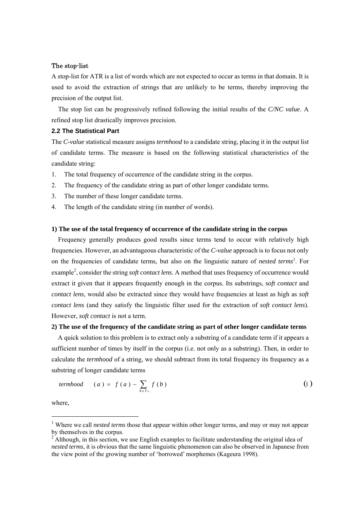#### The stop-list

A stop-list for ATR is a list of words which are not expected to occur as terms in that domain. It is used to avoid the extraction of strings that are unlikely to be terms, thereby improving the precision of the output list.

The stop list can be progressively refined following the initial results of the *C/NC value*. A refined stop list drastically improves precision.

#### **2.2 The Statistical Part**

The *C-value* statistical measure assigns *termhood* to a candidate string, placing it in the output list of candidate terms. The measure is based on the following statistical characteristics of the candidate string:

- 1. The total frequency of occurrence of the candidate string in the corpus.
- 2. The frequency of the candidate string as part of other longer candidate terms.
- 3. The number of these longer candidate terms.
- 4. The length of the candidate string (in number of words).

### **1) The use of the total frequency of occurrence of the candidate string in the corpus**

Frequency generally produces good results since terms tend to occur with relatively high frequencies. However, an advantageous characteristic of the *C-value* approach is to focus not only on the frequencies of candidate terms, but also on the linguistic nature of *nested terms[1](#page-3-0)* . For example<sup>[2](#page-3-1)</sup>, consider the string *soft contact lens*. A method that uses frequency of occurrence would extract it given that it appears frequently enough in the corpus. Its substrings, *soft contact* and *contact lens*, would also be extracted since they would have frequencies at least as high as *soft contact lens* (and they satisfy the linguistic filter used for the extraction of *soft contact lens*). However, *soft contact* is not a term.

## **2) The use of the frequency of the candidate string as part of other longer candidate terms**

A quick solution to this problem is to extract only a substring of a candidate term if it appears a sufficient number of times by itself in the corpus (i.e. not only as a substring). Then, in order to calculate the *termhood* of a string, we should subtract from its total frequency its frequency as a substring of longer candidate terms

$$
termhood \quad (a) = f(a) - \sum_{b \in T_a} f(b) \tag{1}
$$

where,

 $\overline{a}$ 

<span id="page-3-0"></span><sup>&</sup>lt;sup>1</sup> Where we call *nested terms* those that appear within other longer terms, and may or may not appear by themselves in the corpus.

<span id="page-3-1"></span> $2^{2}$  Although, in this section, we use English examples to facilitate understanding the original idea of *nested terms*, it is obvious that the same linguistic phenomenon can also be observed in Japanese from the view point of the growing number of 'borrowed' morphemes (Kageura 1998).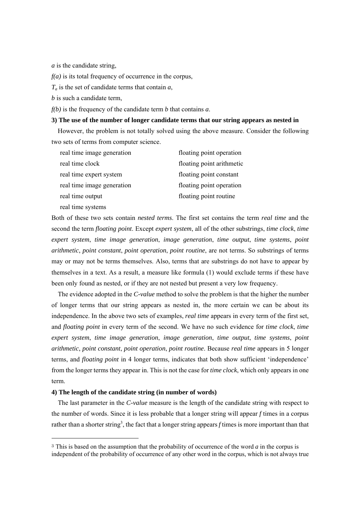*a* is the candidate string,

*f(a)* is its total frequency of occurrence in the corpus,

*Ta* is the set of candidate terms that contain *a*,

*b* is such a candidate term,

*f(b)* is the frequency of the candidate term *b* that contains *a*.

#### **3) The use of the number of longer candidate terms that our string appears as nested in**

However, the problem is not totally solved using the above measure. Consider the following two sets of terms from computer science.

| real time image generation | floating point operation  |
|----------------------------|---------------------------|
| real time clock            | floating point arithmetic |
| real time expert system    | floating point constant   |
| real time image generation | floating point operation  |
| real time output           | floating point routine    |
| real time systems          |                           |

Both of these two sets contain *nested terms*. The first set contains the term *real time* and the second the term *floating point*. Except *expert system*, all of the other substrings, *time clock*, *time expert system*, *time image generation*, *image generation*, *time output*, *time systems*, *point arithmetic*, *point constant*, *point operation*, *point routine*, are not terms. So substrings of terms may or may not be terms themselves. Also, terms that are substrings do not have to appear by themselves in a text. As a result, a measure like formula (1) would exclude terms if these have been only found as nested, or if they are not nested but present a very low frequency.

The evidence adopted in the *C-value* method to solve the problem is that the higher the number of longer terms that our string appears as nested in, the more certain we can be about its independence. In the above two sets of examples, *real time* appears in every term of the first set, and *floating point* in every term of the second. We have no such evidence for *time clock*, *time expert system*, *time image generation*, *image generation*, *time output*, *time systems*, *point arithmetic*, *point constant*, *point operation*, *point routine*. Because *real time* appears in 5 longer terms, and *floating point* in 4 longer terms, indicates that both show sufficient 'independence' from the longer terms they appear in. This is not the case for *time clock*, which only appears in one term.

#### **4) The length of the candidate string (in number of words)**

 $\overline{a}$ 

The last parameter in the *C-value* measure is the length of the candidate string with respect to the number of words. Since it is less probable that a longer string will appear *f* times in a corpus rather than a shorter string<sup>3</sup>, the fact that a longer string appears  $f$  times is more important than that

<span id="page-4-0"></span><sup>3</sup> This is based on the assumption that the probability of occurrence of the word *a* in the corpus is independent of the probability of occurrence of any other word in the corpus, which is not always true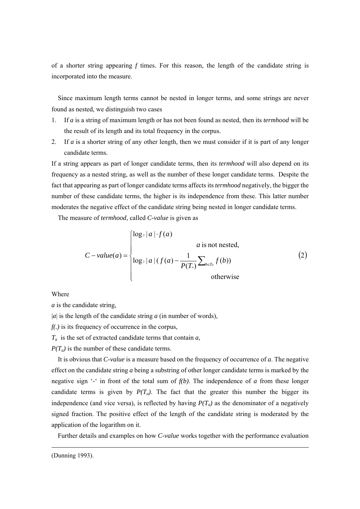of a shorter string appearing *f* times. For this reason, the length of the candidate string is incorporated into the measure.

Since maximum length terms cannot be nested in longer terms, and some strings are never found as nested, we distinguish two cases

- 1. If *a* is a string of maximum length or has not been found as nested, then its *termhood* will be the result of its length and its total frequency in the corpus.
- 2. If *a* is a shorter string of any other length, then we must consider if it is part of any longer candidate terms.

If a string appears as part of longer candidate terms, then its *termhood* will also depend on its frequency as a nested string, as well as the number of these longer candidate terms. Despite the fact that appearing as part of longer candidate terms affects its *termhood* negatively, the bigger the number of these candidate terms, the higher is its independence from these. This latter number moderates the negative effect of the candidate string being nested in longer candidate terms.

The measure of *termhood*, called *C-value* is given as

$$
C-value(a) = \begin{cases} \log_2|a| \cdot f(a) & a \text{ is not nested,} \\ \log_2|a|(f(a) - \frac{1}{P(T_a)} \sum_{b \in T_a} f(b)) \\ & \text{otherwise} \end{cases}
$$
 (2)

Where

*a* is the candidate string,

|*a*| is the length of the candidate string *a* (in number of words),

*f(.)* is its frequency of occurrence in the corpus,

*Ta* is the set of extracted candidate terms that contain *a*,

 $P(T_a)$  is the number of these candidate terms.

It is obvious that *C-value* is a measure based on the frequency of occurrence of *a*. The negative effect on the candidate string *a* being a substring of other longer candidate terms is marked by the negative sign  $-$  in front of the total sum of  $f(b)$ . The independence of *a* from these longer candidate terms is given by  $P(T_a)$ . The fact that the greater this number the bigger its independence (and vice versa), is reflected by having  $P(T_a)$  as the denominator of a negatively signed fraction. The positive effect of the length of the candidate string is moderated by the application of the logarithm on it.

Further details and examples on how *C-value* works together with the performance evaluation

-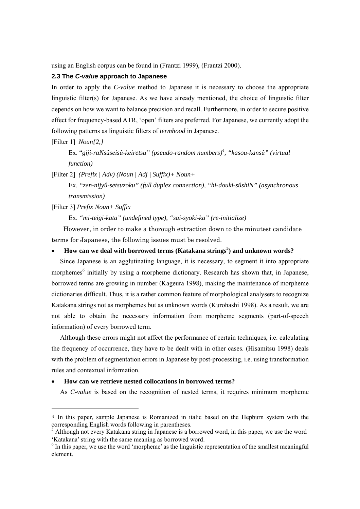using an English corpus can be found in (Frantzi 1999), (Frantzi 2000).

### **2.3 The** *C-value* **approach to Japanese**

In order to apply the *C-value* method to Japanese it is necessary to choose the appropriate linguistic filter(s) for Japanese. As we have already mentioned, the choice of linguistic filter depends on how we want to balance precision and recall. Furthermore, in order to secure positive effect for frequency-based ATR, 'open' filters are preferred. For Japanese, we currently adopt the following patterns as linguistic filters of *termhood* in Japanese.

[Filter 1] *Noun{2,}*

 $\overline{a}$ 

Ex. "*giji-raNsûseisû-keiretsu" (pseudo-random numbers)[4](#page-6-0) , "kasou-kansû" (virtual function)* 

[Filter 2] *(Prefix | Adv) (Noun | Adj | Suffix)+ Noun+* 

Ex. *"zen-nijyû-setsuzoku" (full duplex connection), "hi-douki-sûshiN" (asynchronous transmission)* 

[Filter 3] *Prefix Noun+ Suffix*

Ex. *"mi-teigi-kata" (undefined type), "sai-syoki-ka" (re-initialize)* 

 However, in order to make a thorough extraction down to the minutest candidate terms for Japanese, the following issues must be resolved.

## • **How can we deal with borrowed terms (Katakana strings[5](#page-6-1) ) and unknown words?**

Since Japanese is an agglutinating language, it is necessary, to segment it into appropriate morphemes<sup>[6](#page-6-2)</sup> initially by using a morpheme dictionary. Research has shown that, in Japanese, borrowed terms are growing in number (Kageura 1998), making the maintenance of morpheme dictionaries difficult. Thus, it is a rather common feature of morphological analysers to recognize Katakana strings not as morphemes but as unknown words (Kurohashi 1998). As a result, we are not able to obtain the necessary information from morpheme segments (part-of-speech information) of every borrowed term.

Although these errors might not affect the performance of certain techniques, i.e. calculating the frequency of occurrence, they have to be dealt with in other cases. (Hisamitsu 1998) deals with the problem of segmentation errors in Japanese by post-processing, i.e. using transformation rules and contextual information.

#### • **How can we retrieve nested collocations in borrowed terms?**

As *C-value* is based on the recognition of nested terms, it requires minimum morpheme

<span id="page-6-0"></span><sup>4</sup> In this paper, sample Japanese is Romanized in italic based on the Hepburn system with the corresponding English words following in parentheses.

<span id="page-6-1"></span><sup>&</sup>lt;sup>5</sup> Although not every Katakana string in Japanese is a borrowed word, in this paper, we use the word 'Katakana' string with the same meaning as borrowed word. <sup>6</sup>

<span id="page-6-2"></span> $<sup>6</sup>$  In this paper, we use the word 'morpheme' as the linguistic representation of the smallest meaningful</sup> element.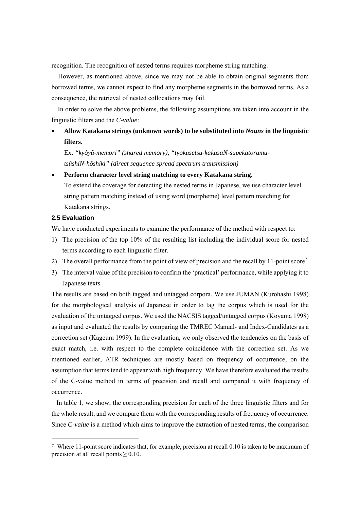recognition. The recognition of nested terms requires morpheme string matching.

 However, as mentioned above, since we may not be able to obtain original segments from borrowed terms, we cannot expect to find any morpheme segments in the borrowed terms. As a consequence, the retrieval of nested collocations may fail.

In order to solve the above problems, the following assumptions are taken into account in the linguistic filters and the *C-value*:

# • **Allow Katakana strings (unknown words) to be substituted into** *Nouns* **in the linguistic filters.**

Ex. *"kyôyû-memori" (shared memory), "tyokusetsu-kakusaN-supekutoramutsûshiN-hôshiki" (direct sequence spread spectrum transmission)*

#### • **Perform character level string matching to every Katakana string.**

To extend the coverage for detecting the nested terms in Japanese, we use character level string pattern matching instead of using word (morpheme) level pattern matching for Katakana strings.

## **2.5 Evaluation**

 $\overline{a}$ 

We have conducted experiments to examine the performance of the method with respect to:

- 1) The precision of the top 10% of the resulting list including the individual score for nested terms according to each linguistic filter.
- 2) The overall performance from the point of view of precision and the recall by 11-point score<sup>[7](#page-7-0)</sup>.
- 3) The interval value of the precision to confirm the 'practical' performance, while applying it to Japanese texts.

The results are based on both tagged and untagged corpora. We use JUMAN (Kurohashi 1998) for the morphological analysis of Japanese in order to tag the corpus which is used for the evaluation of the untagged corpus. We used the NACSIS tagged/untagged corpus (Koyama 1998) as input and evaluated the results by comparing the TMREC Manual- and Index-Candidates as a correction set (Kageura 1999). In the evaluation, we only observed the tendencies on the basis of exact match, i.e. with respect to the complete coincidence with the correction set. As we mentioned earlier, ATR techniques are mostly based on frequency of occurrence, on the assumption that terms tend to appear with high frequency. We have therefore evaluated the results of the C-value method in terms of precision and recall and compared it with frequency of occurrence.

 In table 1, we show, the corresponding precision for each of the three linguistic filters and for the whole result, and we compare them with the corresponding results of frequency of occurrence. Since *C-value* is a method which aims to improve the extraction of nested terms, the comparison

<span id="page-7-0"></span><sup>7</sup> Where 11-point score indicates that, for example, precision at recall 0.10 is taken to be maximum of precision at all recall points ≥ 0.10.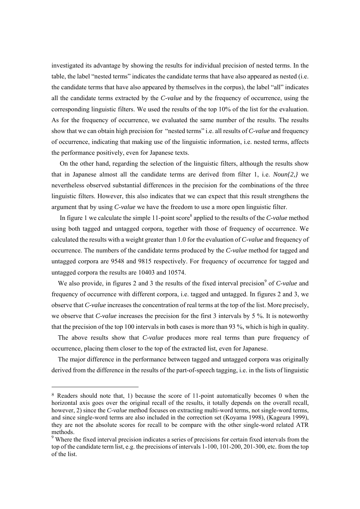investigated its advantage by showing the results for individual precision of nested terms. In the table, the label "nested terms" indicates the candidate terms that have also appeared as nested (i.e. the candidate terms that have also appeared by themselves in the corpus), the label "all" indicates all the candidate terms extracted by the *C-value* and by the frequency of occurrence, using the corresponding linguistic filters. We used the results of the top 10% of the list for the evaluation. As for the frequency of occurrence, we evaluated the same number of the results. The results show that we can obtain high precision for "nested terms" i.e. all results of *C-value* and frequency of occurrence, indicating that making use of the linguistic information, i.e. nested terms, affects the performance positively, even for Japanese texts.

 On the other hand, regarding the selection of the linguistic filters, although the results show that in Japanese almost all the candidate terms are derived from filter 1, i.e. *Noun{2,}* we nevertheless observed substantial differences in the precision for the combinations of the three linguistic filters. However, this also indicates that we can expect that this result strengthens the argument that by using *C-value* we have the freedom to use a more open linguistic filter.

 In figure 1 we calculate the simple 11-point score[8](#page-8-0) applied to the results of the *C-value* method using both tagged and untagged corpora, together with those of frequency of occurrence. We calculated the results with a weight greater than 1.0 for the evaluation of *C-value* and frequency of occurrence. The numbers of the candidate terms produced by the *C-value* method for tagged and untagged corpora are 9548 and 9815 respectively. For frequency of occurrence for tagged and untagged corpora the results are 10403 and 10574.

We also provide, in figures 2 and 3 the results [o](#page-8-1)f the fixed interval precision<sup>9</sup> of *C-value* and frequency of occurrence with different corpora, i.e. tagged and untagged. In figures 2 and 3, we observe that *C-value* increases the concentration of real terms at the top of the list. More precisely, we observe that *C-value* increases the precision for the first 3 intervals by 5 %. It is noteworthy that the precision of the top 100 intervals in both cases is more than 93 %, which is high in quality.

The above results show that *C-value* produces more real terms than pure frequency of occurrence, placing them closer to the top of the extracted list, even for Japanese.

The major difference in the performance between tagged and untagged corpora was originally derived from the difference in the results of the part-of-speech tagging, i.e. in the lists of linguistic

 $\overline{a}$ 

<span id="page-8-0"></span><sup>8</sup> Readers should note that, 1) because the score of 11-point automatically becomes 0 when the horizontal axis goes over the original recall of the results, it totally depends on the overall recall, however, 2) since the *C-value* method focuses on extracting multi-word terms, not single-word terms, and since single-word terms are also included in the correction set (Koyama 1998), (Kageura 1999), they are not the absolute scores for recall to be compare with the other single-word related ATR methods.

<span id="page-8-1"></span><sup>&</sup>lt;sup>9</sup> Where the fixed interval precision indicates a series of precisions for certain fixed intervals from the top of the candidate term list, e.g. the precisions of intervals 1-100, 101-200, 201-300, etc. from the top of the list.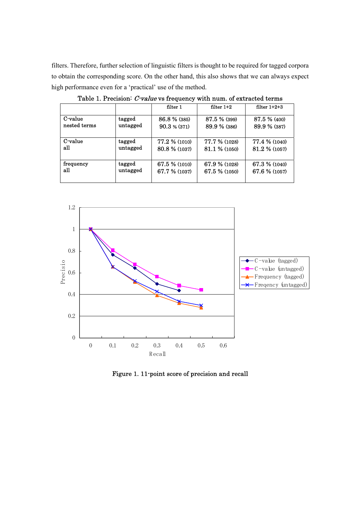filters. Therefore, further selection of linguistic filters is thought to be required for tagged corpora to obtain the corresponding score. On the other hand, this also shows that we can always expect high performance even for a 'practical' use of the method.

|              |          | filter 1            | filter $1+2$  | filter $1+2+3$ |
|--------------|----------|---------------------|---------------|----------------|
| C-value      | tagged   | 86.8 % (385)        | 87.5 % (399)  | 87.5 % (400)   |
| nested terms | untagged | $90.3 \times (371)$ | 89.9 % (386)  | 89.9 % (387)   |
| C-value      | tagged   | 77.2 % (1010)       | 77.7 % (1028) | 77.4 % (1040)  |
| all          | untagged | 80.8 % (1037)       | 81.1 % (1050) | 81.2 % (1057)  |
| frequency    | tagged   | 67.5 % (1010)       | 67.9 % (1028) | 67.3 % (1040)  |
| all          | untagged | 67.7 % (1037)       | 67.5 % (1050) | 67.6 % (1057)  |

Table 1. Precision: C-value vs frequency with num. of extracted terms



Figure 1. 11-point score of precision and recall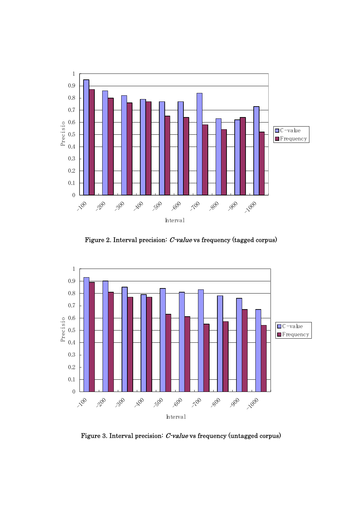

Figure 2. Interval precision: C-value vs frequency (tagged corpus)



Figure 3. Interval precision: C-value vs frequency (untagged corpus)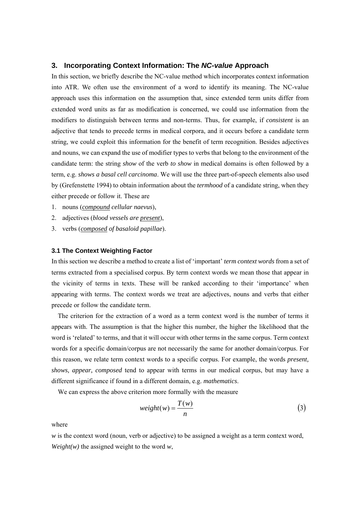## **3. Incorporating Context Information: The** *NC-value* **Approach**

In this section, we briefly describe the NC-value method which incorporates context information into ATR. We often use the environment of a word to identify its meaning. The NC-value approach uses this information on the assumption that, since extended term units differ from extended word units as far as modification is concerned, we could use information from the modifiers to distinguish between terms and non-terms. Thus, for example, if *consistent* is an adjective that tends to precede terms in medical corpora, and it occurs before a candidate term string, we could exploit this information for the benefit of term recognition. Besides adjectives and nouns, we can expand the use of modifier types to verbs that belong to the environment of the candidate term: the string *show* of the verb *to show* in medical domains is often followed by a term, e.g. *shows a basal cell carcinoma*. We will use the three part-of-speech elements also used by (Grefenstette 1994) to obtain information about the *termhood* of a candidate string, when they either precede or follow it. These are

- 1. nouns (*compound cellular naevus*),
- 2. adjectives (*blood vessels are present*),
- 3. verbs (*composed of basaloid papillae*).

#### **3.1 The Context Weighting Factor**

In this section we describe a method to create a list of 'important' *term context words* from a set of terms extracted from a specialised corpus. By term context words we mean those that appear in the vicinity of terms in texts. These will be ranked according to their 'importance' when appearing with terms. The context words we treat are adjectives, nouns and verbs that either precede or follow the candidate term.

The criterion for the extraction of a word as a term context word is the number of terms it appears with. The assumption is that the higher this number, the higher the likelihood that the word is 'related' to terms, and that it will occur with other terms in the same corpus. Term context words for a specific domain/corpus are not necessarily the same for another domain/corpus. For this reason, we relate term context words to a specific corpus. For example, the words *present, shows, appear, composed* tend to appear with terms in our medical corpus, but may have a different significance if found in a different domain, e.g. *mathematics*.

We can express the above criterion more formally with the measure

$$
weight(w) = \frac{T(w)}{n}
$$
 (3)

where

*w* is the context word (noun, verb or adjective) to be assigned a weight as a term context word, *Weight(w)* the assigned weight to the word *w*,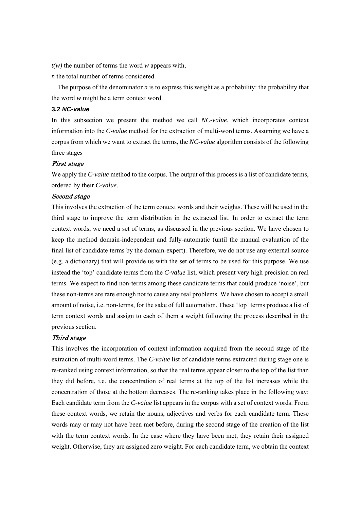*t(w)* the number of terms the word *w* appears with,

*n* the total number of terms considered.

The purpose of the denominator *n* is to express this weight as a probability: the probability that the word *w* might be a term context word.

## **3.2** *NC-value*

In this subsection we present the method we call *NC-value*, which incorporates context information into the *C-value* method for the extraction of multi-word terms. Assuming we have a corpus from which we want to extract the terms, the *NC-value* algorithm consists of the following three stages

#### First stage

We apply the *C-value* method to the corpus. The output of this process is a list of candidate terms, ordered by their *C-value*.

## Second stage

This involves the extraction of the term context words and their weights. These will be used in the third stage to improve the term distribution in the extracted list. In order to extract the term context words, we need a set of terms, as discussed in the previous section. We have chosen to keep the method domain-independent and fully-automatic (until the manual evaluation of the final list of candidate terms by the domain-expert). Therefore, we do not use any external source (e.g. a dictionary) that will provide us with the set of terms to be used for this purpose. We use instead the 'top' candidate terms from the *C-value* list, which present very high precision on real terms. We expect to find non-terms among these candidate terms that could produce 'noise', but these non-terms are rare enough not to cause any real problems. We have chosen to accept a small amount of noise, i.e. non-terms, for the sake of full automation. These 'top' terms produce a list of term context words and assign to each of them a weight following the process described in the previous section.

#### Third stage

This involves the incorporation of context information acquired from the second stage of the extraction of multi-word terms. The *C-value* list of candidate terms extracted during stage one is re-ranked using context information, so that the real terms appear closer to the top of the list than they did before, i.e. the concentration of real terms at the top of the list increases while the concentration of those at the bottom decreases. The re-ranking takes place in the following way: Each candidate term from the *C-value* list appears in the corpus with a set of context words. From these context words, we retain the nouns, adjectives and verbs for each candidate term. These words may or may not have been met before, during the second stage of the creation of the list with the term context words. In the case where they have been met, they retain their assigned weight. Otherwise, they are assigned zero weight. For each candidate term, we obtain the context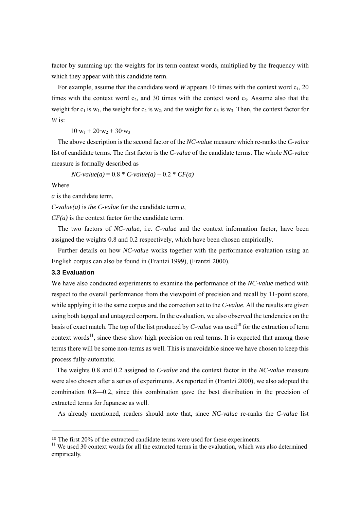factor by summing up: the weights for its term context words, multiplied by the frequency with which they appear with this candidate term.

For example, assume that the candidate word *W* appears 10 times with the context word  $c_1$ , 20 times with the context word  $c_2$ , and 30 times with the context word  $c_3$ . Assume also that the weight for  $c_1$  is w<sub>1</sub>, the weight for  $c_2$  is w<sub>2</sub>, and the weight for  $c_3$  is w<sub>3</sub>. Then, the context factor for *W* is:

 $10\cdot w_1 + 20\cdot w_2 + 30\cdot w_3$ 

The above description is the second factor of the *NC-value* measure which re-ranks the *C-value* list of candidate terms. The first factor is the *C-value* of the candidate terms. The whole *NC-value* measure is formally described as

 $NC-value(a) = 0.8 * C-value(a) + 0.2 * CF(a)$ 

Where

*a* is the candidate term,

*C-value(a)* is *the C-value* for the candidate term *a*,

*CF(a)* is the context factor for the candidate term.

The two factors of *NC-value*, i.e. *C-value* and the context information factor, have been assigned the weights 0.8 and 0.2 respectively, which have been chosen empirically.

Further details on how *NC-value* works together with the performance evaluation using an English corpus can also be found in (Frantzi 1999), (Frantzi 2000).

#### **3.3 Evaluation**

 $\overline{a}$ 

We have also conducted experiments to examine the performance of the *NC-value* method with respect to the overall performance from the viewpoint of precision and recall by 11-point score, while applying it to the same corpus and the correction set to the *C-value*. All the results are given using both tagged and untagged corpora. In the evaluation, we also observed the tendencies on the basis of exact match. The top of the list produced by *C-value* was used<sup>10</sup> for the extraction of term context words $^{11}$ , since these show high precision on real terms. It is expected that among those terms there will be some non-terms as well. This is unavoidable since we have chosen to keep this process fully-automatic.

 The weights 0.8 and 0.2 assigned to *C-value* and the context factor in the *NC-value* measure were also chosen after a series of experiments. As reported in (Frantzi 2000), we also adopted the combination 0.8—0.2, since this combination gave the best distribution in the precision of extracted terms for Japanese as well.

As already mentioned, readers should note that, since *NC-value* re-ranks the *C-value* list

<span id="page-13-0"></span><sup>10</sup> The first 20% of the extracted candidate terms were used for these experiments.

<span id="page-13-1"></span> $11$  We used 30 context words for all the extracted terms in the evaluation, which was also determined empirically.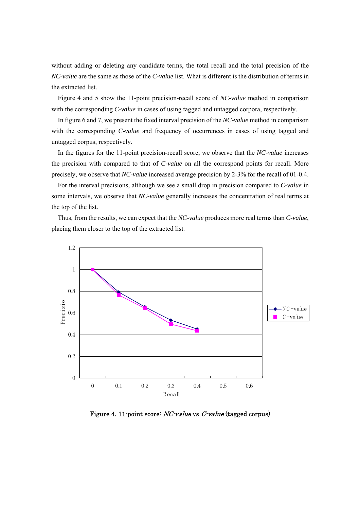without adding or deleting any candidate terms, the total recall and the total precision of the *NC-value* are the same as those of the *C-value* list. What is different is the distribution of terms in the extracted list.

Figure 4 and 5 show the 11-point precision-recall score of *NC-value* method in comparison with the corresponding *C-value* in cases of using tagged and untagged corpora, respectively.

In figure 6 and 7, we present the fixed interval precision of the *NC-value* method in comparison with the corresponding *C-value* and frequency of occurrences in cases of using tagged and untagged corpus, respectively.

In the figures for the 11-point precision-recall score, we observe that the *NC-value* increases the precision with compared to that of *C-value* on all the correspond points for recall. More precisely, we observe that *NC-value* increased average precision by 2-3% for the recall of 01-0.4.

For the interval precisions, although we see a small drop in precision compared to *C-value* in some intervals, we observe that *NC-value* generally increases the concentration of real terms at the top of the list.

Thus, from the results, we can expect that the *NC-value* produces more real terms than *C-value*, placing them closer to the top of the extracted list.



Figure 4. 11-point score: NC-value vs C-value (tagged corpus)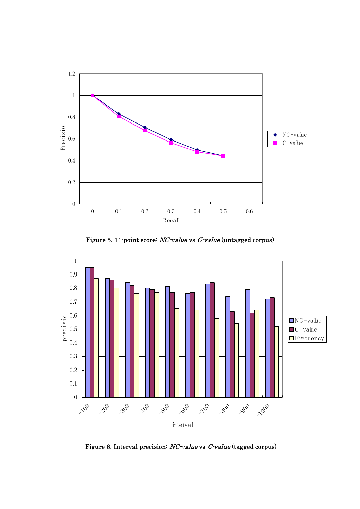

Figure 5. 11-point score: NC-value vs C-value (untagged corpus)



Figure 6. Interval precision: NC-value vs C-value (tagged corpus)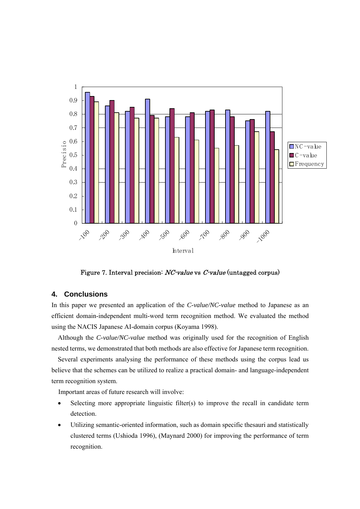

Figure 7. Interval precision: NC-value vs C-value (untagged corpus)

# **4. Conclusions**

In this paper we presented an application of the *C-value/NC-value* method to Japanese as an efficient domain-independent multi-word term recognition method. We evaluated the method using the NACIS Japanese AI-domain corpus (Koyama 1998).

Although the *C-value/NC-value* method was originally used for the recognition of English nested terms, we demonstrated that both methods are also effective for Japanese term recognition.

Several experiments analysing the performance of these methods using the corpus lead us believe that the schemes can be utilized to realize a practical domain- and language-independent term recognition system.

Important areas of future research will involve:

- Selecting more appropriate linguistic filter(s) to improve the recall in candidate term detection.
- Utilizing semantic-oriented information, such as domain specific thesauri and statistically clustered terms (Ushioda 1996), (Maynard 2000) for improving the performance of term recognition.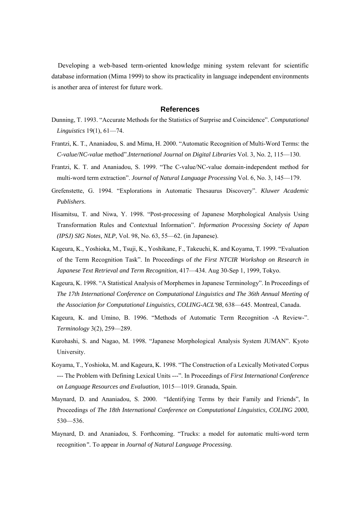Developing a web-based term-oriented knowledge mining system relevant for scientific database information (Mima 1999) to show its practicality in language independent environments is another area of interest for future work.

## **References**

- Dunning, T. 1993. "Accurate Methods for the Statistics of Surprise and Coincidence". *Computational Linguistics* 19(1), 61—74.
- Frantzi, K. T., Ananiadou, S. and Mima, H. 2000. "Automatic Recognition of Multi-Word Terms: the *C-value/NC-value* method".*International Journal on Digital Libraries* Vol. 3, No. 2, 115—130.
- Frantzi, K. T. and Ananiadou, S. 1999. "The C-value/NC-value domain-independent method for multi-word term extraction". *Journal of Natural Language Processing* Vol. 6, No. 3, 145—179.
- Grefenstette, G. 1994. "Explorations in Automatic Thesaurus Discovery". *Kluwer Academic Publishers*.
- Hisamitsu, T. and Niwa, Y. 1998. "Post-processing of Japanese Morphological Analysis Using Transformation Rules and Contextual Information". *Information Processing Society of Japan (IPSJ) SIG Notes, NLP*, Vol. 98, No. 63, 55—62. (in Japanese).
- Kageura, K., Yoshioka, M., Tsuji, K., Yoshikane, F., Takeuchi, K. and Koyama, T. 1999. "Evaluation of the Term Recognition Task". In Proceedings of *the First NTCIR Workshop on Research in Japanese Text Retrieval and Term Recognition*, 417—434. Aug 30-Sep 1, 1999, Tokyo.
- Kageura, K. 1998. "A Statistical Analysis of Morphemes in Japanese Terminology". In Proceedings of *The 17th International Conference on Computational Linguistics and The 36th Annual Meeting of the Association for Computational Linguistics, COLING-ACL'98*, 638—645. Montreal, Canada.
- Kageura, K. and Umino, B. 1996. "Methods of Automatic Term Recognition -A Review-". *Terminology* 3(2), 259—289.
- Kurohashi, S. and Nagao, M. 1998*.* "Japanese Morphological Analysis System JUMAN". Kyoto University.
- Koyama, T., Yoshioka, M. and Kageura, K. 1998. "The Construction of a Lexically Motivated Corpus --- The Problem with Defining Lexical Units ---". In Proceedings of *First International Conference on Language Resources and Evaluation*, 1015—1019. Granada, Spain.
- Maynard, D. and Ananiadou, S. 2000. "Identifying Terms by their Family and Friends", In Proceedings of *The 18th International Conference on Computational Linguistics, COLING 2000*, 530—536.
- Maynard, D. and Ananiadou, S. Forthcoming. "Trucks: a model for automatic multi-word term recognition*".* To appear in *Journal of Natural Language Processing*.